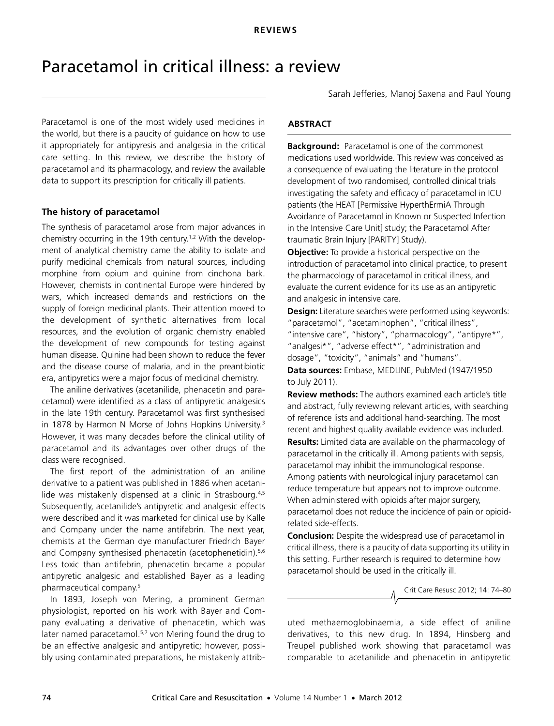# <span id="page-0-0"></span>Paracetamol in critical illness: a review

.<br>data to support its prescription for critically ill patients. 2012 14 1 [74-](#page-0-0)[80](#page-6-0) Paracetamol is one of the most widely used medicines in the world, but there is a paucity of guidance on how to use it appropriately for antipyresis and analgesia in the critical care setting. In this review, we describe the history of paracetamol and its pharmacology, and review the available

#### ww.jficm.anzach.anzach.anzach.au/aaccm/journal/publi-The history of paracetamol

The synthesis of paracetamol arose from major advances in chemistry occurring in the 19th century[.1,](#page-4-0)[2](#page-4-1) With the development of analytical chemistry came the ability to isolate and purify medicinal chemicals from natural sources, including morphine from opium and quinine from cinchona bark. However, chemists in continental Europe were hindered by wars, which increased demands and restrictions on the supply of foreign medicinal plants. Their attention moved to the development of synthetic alternatives from local resources, and the evolution of organic chemistry enabled the development of new compounds for testing against human disease. Quinine had been shown to reduce the fever and the disease course of malaria, and in the preantibiotic era, antipyretics were a major focus of medicinal chemistry.

The aniline derivatives (acetanilide, phenacetin and paracetamol) were identified as a class of antipyretic analgesics in the late 19th century. Paracetamol was first synthesised in 1878 by Harmon N Morse of Johns Hopkins University.<sup>[3](#page-4-2)</sup> However, it was many decades before the clinical utility of paracetamol and its advantages over other drugs of the class were recognised.

The first report of the administration of an aniline derivative to a patient was published in 1886 when acetani-lide was mistakenly dispensed at a clinic in Strasbourg.<sup>4,[5](#page-4-4)</sup> Subsequently, acetanilide's antipyretic and analgesic effects were described and it was marketed for clinical use by Kalle and Company under the name antifebrin. The next year, chemists at the German dye manufacturer Friedrich Bayer and Company synthesised phenacetin (acetophenetidin).<sup>5,[6](#page-4-5)</sup> Less toxic than antifebrin, phenacetin became a popular antipyretic analgesic and established Bayer as a leading pharmaceutical company.[5](#page-4-4)

In 1893, Joseph von Mering, a prominent German physiologist, reported on his work with Bayer and Company evaluating a derivative of phenacetin, which was later named paracetamol.<sup>[5,](#page-4-4)7</sup> von Mering found the drug to be an effective analgesic and antipyretic; however, possibly using contaminated preparations, he mistakenly attribSarah Jefferies, Manoj Saxena and Paul Young

# **ABSTRACT**

**Background:** Paracetamol is one of the commonest medications used worldwide. This review was conceived as a consequence of evaluating the literature in the protocol development of two randomised, controlled clinical trials investigating the safety and efficacy of paracetamol in ICU patients (the HEAT [Permissive HyperthErmiA Through Avoidance of Paracetamol in Known or Suspected Infection in the Intensive Care Unit] study; the Paracetamol After traumatic Brain Injury [PARITY] Study).

**Objective:** To provide a historical perspective on the introduction of paracetamol into clinical practice, to present the pharmacology of paracetamol in critical illness, and evaluate the current evidence for its use as an antipyretic and analgesic in intensive care.

**Design:** Literature searches were performed using keywords: "paracetamol", "acetaminophen", "critical illness", "intensive care", "history", "pharmacology", "antipyre\*", "analgesi\*", "adverse effect\*", "administration and dosage", "toxicity", "animals" and "humans".

**Data sources:** Embase, MEDLINE, PubMed (1947/1950 to July 2011).

**Review methods:** The authors examined each article's title and abstract, fully reviewing relevant articles, with searching of reference lists and additional hand-searching. The most recent and highest quality available evidence was included. **Results:** Limited data are available on the pharmacology of paracetamol in the critically ill. Among patients with sepsis, paracetamol may inhibit the immunological response. Among patients with neurological injury paracetamol can reduce temperature but appears not to improve outcome. When administered with opioids after major surgery, paracetamol does not reduce the incidence of pain or opioidrelated side-effects.

**Conclusion:** Despite the widespread use of paracetamol in critical illness, there is a paucity of data supporting its utility in this setting. Further research is required to determine how paracetamol should be used in the critically ill.

Crit Care Resusc 2012; 14: 74–80

uted methaemoglobinaemia, a side effect of aniline derivatives, to this new drug. In 1894, Hinsberg and Treupel published work showing that paracetamol was comparable to acetanilide and phenacetin in antipyretic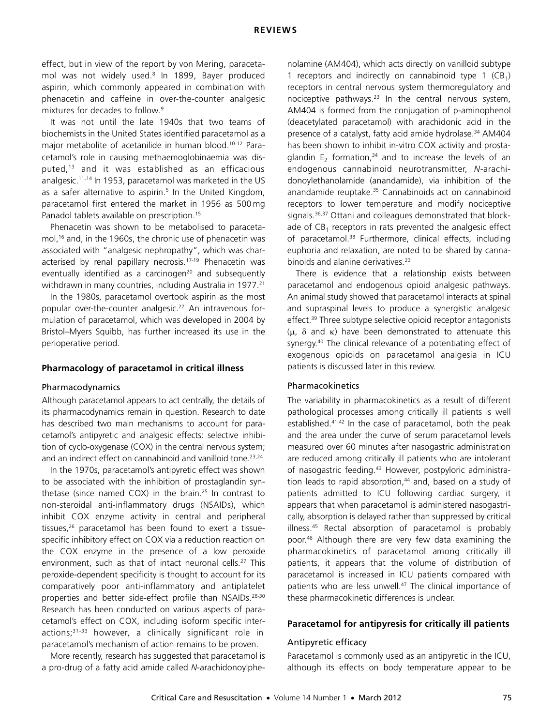effect, but in view of the report by von Mering, paracetamol was not widely used.[8](#page-4-7) In 1899, Bayer produced aspirin, which commonly appeared in combination with phenacetin and caffeine in over-the-counter analgesic mixtures for decades to follow.[9](#page-4-8)

It was not until the late 1940s that two teams of biochemists in the United States identified paracetamol as a major metabolite of acetanilide in human blood.<sup>10-12</sup> Paracetamol's role in causing methaemoglobinaemia was disputed,[13](#page-4-11) and it was established as an efficacious analgesic[.11](#page-4-12),[14](#page-4-13) In 1953, paracetamol was marketed in the US as a safer alternative to aspirin.<sup>5</sup> In the United Kingdom, paracetamol first entered the market in 1956 as 500 mg Panadol tablets available on prescription.[15](#page-4-14)

Phenacetin was shown to be metabolised to paracetamol,[16](#page-4-15) and, in the 1960s, the chronic use of phenacetin was associated with "analgesic nephropathy", which was characterised by renal papillary necrosis.[17](#page-4-16)-[19](#page-4-17) Phenacetin was eventually identified as a carcinogen<sup>20</sup> and subsequently withdrawn in many countries, including Australia in 1977.<sup>[21](#page-4-19)</sup>

In the 1980s, paracetamol overtook aspirin as the most popular over-the-counter analgesic.<sup>22</sup> An intravenous formulation of paracetamol, which was developed in 2004 by Bristol–Myers Squibb, has further increased its use in the perioperative period.

## **Pharmacology of paracetamol in critical illness**

#### Pharmacodynamics

Although paracetamol appears to act centrally, the details of its pharmacodynamics remain in question. Research to date has described two main mechanisms to account for paracetamol's antipyretic and analgesic effects: selective inhibition of cyclo-oxygenase (COX) in the central nervous system; and an indirect effect on cannabinoid and vanilloid tone.<sup>[23](#page-4-21)[,24](#page-4-22)</sup>

In the 1970s, paracetamol's antipyretic effect was shown to be associated with the inhibition of prostaglandin syn-thetase (since named COX) in the brain.<sup>[25](#page-4-23)</sup> In contrast to non-steroidal anti-inflammatory drugs (NSAIDs), which inhibit COX enzyme activity in central and peripheral tissues,[26](#page-4-24) paracetamol has been found to exert a tissuespecific inhibitory effect on COX via a reduction reaction on the COX enzyme in the presence of a low peroxide environment, such as that of intact neuronal cells.<sup>27</sup> This peroxide-dependent specificity is thought to account for its comparatively poor anti-inflammatory and antiplatelet properties and better side-effect profile than NSAIDs.[28-](#page-5-1)[30](#page-5-2) Research has been conducted on various aspects of paracetamol's effect on COX, including isoform specific interactions;[31](#page-5-3)[-33](#page-5-4) however, a clinically significant role in paracetamol's mechanism of action remains to be proven.

More recently, research has suggested that paracetamol is a pro-drug of a fatty acid amide called *N*-arachidonoylphenolamine (AM404), which acts directly on vanilloid subtype 1 receptors and indirectly on cannabinoid type 1  $(CB_1)$ receptors in central nervous system thermoregulatory and nociceptive pathways.<sup>[23](#page-4-21)</sup> In the central nervous system, AM404 is formed from the conjugation of p-aminophenol (deacetylated paracetamol) with arachidonic acid in the presence of a catalyst, fatty acid amide hydrolase.<sup>34</sup> AM404 has been shown to inhibit in-vitro COX activity and prostaglandin  $E_2$  formation,<sup>[34](#page-5-5)</sup> and to increase the levels of an endogenous cannabinoid neurotransmitter, *N*-arachidonoylethanolamide (anandamide), via inhibition of the anandamide reuptake.<sup>35</sup> Cannabinoids act on cannabinoid receptors to lower temperature and modify nociceptive signals.<sup>36,37</sup> Ottani and colleagues demonstrated that blockade of  $CB_1$  receptors in rats prevented the analgesic effect of paracetamol.<sup>38</sup> Furthermore, clinical effects, including euphoria and relaxation, are noted to be shared by canna-binoids and alanine derivatives.<sup>[23](#page-4-21)</sup>

There is evidence that a relationship exists between paracetamol and endogenous opioid analgesic pathways. An animal study showed that paracetamol interacts at spinal and supraspinal levels to produce a synergistic analgesic effect.<sup>39</sup> Three subtype selective opioid receptor antagonists  $(\mu, \delta$  and  $\kappa)$  have been demonstrated to attenuate this synergy.<sup>40</sup> The clinical relevance of a potentiating effect of exogenous opioids on paracetamol analgesia in ICU patients is discussed later in this review.

### Pharmacokinetics

The variability in pharmacokinetics as a result of different pathological processes among critically ill patients is well established.<sup>41,[42](#page-5-13)</sup> In the case of paracetamol, both the peak and the area under the curve of serum paracetamol levels measured over 60 minutes after nasogastric administration are reduced among critically ill patients who are intolerant of nasogastric feeding.<sup>[43](#page-5-14)</sup> However, postpyloric administration leads to rapid absorption, $44$  and, based on a study of patients admitted to ICU following cardiac surgery, it appears that when paracetamol is administered nasogastrically, absorption is delayed rather than suppressed by critical illness.[45](#page-5-16) Rectal absorption of paracetamol is probably poor.[46](#page-5-17) Although there are very few data examining the pharmacokinetics of paracetamol among critically ill patients, it appears that the volume of distribution of paracetamol is increased in ICU patients compared with patients who are less unwell.<sup>47</sup> The clinical importance of these pharmacokinetic differences is unclear.

## **Paracetamol for antipyresis for critically ill patients**

#### Antipyretic efficacy

Paracetamol is commonly used as an antipyretic in the ICU, although its effects on body temperature appear to be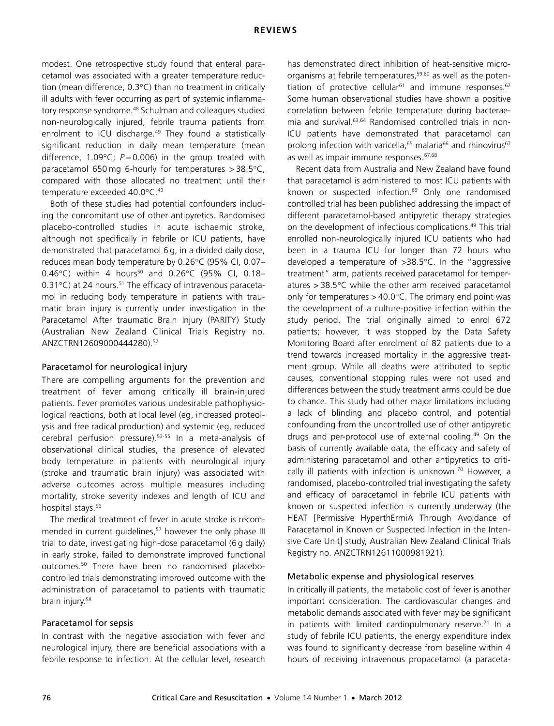modest. One retrospective study found that enteral paracetamol was associated with a greater temperature reduction (mean difference,  $0.3^{\circ}$ C) than no treatment in critically ill adults with fever occurring as part of systemic inflammatory response syndrome.<sup>48</sup> Schulman and colleagues studied non-neurologically injured, febrile trauma patients from enrolment to ICU discharge.<sup>49</sup> They found a statistically significant reduction in daily mean temperature (mean difference, 1.09 $^{\circ}$ C;  $P = 0.006$ ) in the group treated with paracetamol 650 mg 6-hourly for temperatures  $> 38.5^{\circ}$ C, compared with those allocated no treatment until their temperature exceeded 40.0°C.<sup>49</sup>

Both of these studies had potential confounders including the concomitant use of other antipyretics. Randomised placebo-controlled studies in acute ischaemic stroke, although not specifically in febrile or ICU patients, have demonstrated that paracetamol 6 g, in a divided daily dose, reduces mean body temperature by 0.26°C (95% CI, 0.07-0.46°C) within 4 hours<sup>50</sup> and 0.26°C (95% CI, 0.18–  $0.31^{\circ}$ C) at 24 hours.<sup>51</sup> The efficacy of intravenous paracetamol in reducing body temperature in patients with traumatic brain injury is currently under investigation in the Paracetamol After traumatic Brain Injury (PARITY) Study (Australian New Zealand Clinical Trials Registry no. ANZCTRN12609000444280)[.52](#page-5-23)

#### Paracetamol for neurological injury

There are compelling arguments for the prevention and treatment of fever among critically ill brain-injured patients. Fever promotes various undesirable pathophysiological reactions, both at local level (eg, increased proteolysis and free radical production) and systemic (eg, reduced cerebral perfusion pressure).[53-](#page-5-24)[55](#page-5-25) In a meta-analysis of observational clinical studies, the presence of elevated body temperature in patients with neurological injury (stroke and traumatic brain injury) was associated with adverse outcomes across multiple measures including mortality, stroke severity indexes and length of ICU and hospital stays.<sup>[56](#page-5-26)</sup>

The medical treatment of fever in acute stroke is recommended in current quidelines,<sup>57</sup> however the only phase III trial to date, investigating high-dose paracetamol (6 g daily) in early stroke, failed to demonstrate improved functional outcomes[.50](#page-5-21) There have been no randomised placebocontrolled trials demonstrating improved outcome with the administration of paracetamol to patients with traumatic brain injury[.58](#page-5-28)

#### Paracetamol for sepsis

In contrast with the negative association with fever and neurological injury, there are beneficial associations with a febrile response to infection. At the cellular level, research

has demonstrated direct inhibition of heat-sensitive micro-organisms at febrile temperatures,<sup>[59](#page-5-29),60</sup> as well as the poten-tiation of protective cellular<sup>[61](#page-5-31)</sup> and immune responses.<sup>[62](#page-5-32)</sup> Some human observational studies have shown a positive correlation between febrile temperature during bacteraemia and survival[.63](#page-5-33),[64](#page-5-34) Randomised controlled trials in non-ICU patients have demonstrated that paracetamol can prolong infection with varicella,<sup>65</sup> malaria<sup>[66](#page-5-36)</sup> and rhinovirus<sup>[67](#page-5-37)</sup> as well as impair immune responses.<sup>[67](#page-5-37),[68](#page-5-38)</sup>

Recent data from Australia and New Zealand have found that paracetamol is administered to most ICU patients with known or suspected infection.<sup>69</sup> Only one randomised controlled trial has been published addressing the impact of different paracetamol-based antipyretic therapy strategies on the development of infectious complications.[49](#page-5-20) This trial enrolled non-neurologically injured ICU patients who had been in a trauma ICU for longer than 72 hours who developed a temperature of  $>38.5^{\circ}$ C. In the "aggressive treatment" arm, patients received paracetamol for temperatures  $> 38.5$ °C while the other arm received paracetamol only for temperatures  $> 40.0$ °C. The primary end point was the development of a culture-positive infection within the study period. The trial originally aimed to enrol 672 patients; however, it was stopped by the Data Safety Monitoring Board after enrolment of 82 patients due to a trend towards increased mortality in the aggressive treatment group. While all deaths were attributed to septic causes, conventional stopping rules were not used and differences between the study treatment arms could be due to chance. This study had other major limitations including a lack of blinding and placebo control, and potential confounding from the uncontrolled use of other antipyretic drugs and per-protocol use of external cooling.<sup>[49](#page-5-20)</sup> On the basis of currently available data, the efficacy and safety of administering paracetamol and other antipyretics to critically ill patients with infection is unknown.<sup>70</sup> However, a randomised, placebo-controlled trial investigating the safety and efficacy of paracetamol in febrile ICU patients with known or suspected infection is currently underway (the HEAT [Permissive HyperthErmiA Through Avoidance of Paracetamol in Known or Suspected Infection in the Intensive Care Unit] study, Australian New Zealand Clinical Trials Registry no. ANZCTRN12611000981921).

#### Metabolic expense and physiological reserves

In critically ill patients, the metabolic cost of fever is another important consideration. The cardiovascular changes and metabolic demands associated with fever may be significant in patients with limited cardiopulmonary reserve.<sup>[71](#page-6-1)</sup> In a study of febrile ICU patients, the energy expenditure index was found to significantly decrease from baseline within 4 hours of receiving intravenous propacetamol (a paraceta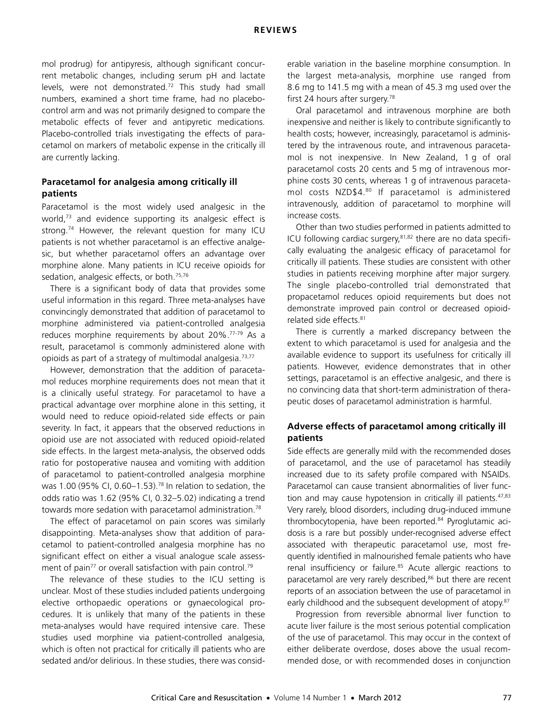mol prodrug) for antipyresis, although significant concurrent metabolic changes, including serum pH and lactate levels, were not demonstrated[.72](#page-6-2) This study had small numbers, examined a short time frame, had no placebocontrol arm and was not primarily designed to compare the metabolic effects of fever and antipyretic medications. Placebo-controlled trials investigating the effects of paracetamol on markers of metabolic expense in the critically ill are currently lacking.

## **Paracetamol for analgesia among critically ill patients**

Paracetamol is the most widely used analgesic in the world,<sup>[73](#page-6-3)</sup> and evidence supporting its analgesic effect is strong.<sup>74</sup> However, the relevant question for many ICU patients is not whether paracetamol is an effective analgesic, but whether paracetamol offers an advantage over morphine alone. Many patients in ICU receive opioids for sedation, analgesic effects, or both.<sup>[75,](#page-6-5)[76](#page-6-6)</sup>

There is a significant body of data that provides some useful information in this regard. Three meta-analyses have convincingly demonstrated that addition of paracetamol to morphine administered via patient-controlled analgesia reduces morphine requirements by about 20%.[77-](#page-6-7)[79](#page-6-8) As a result, paracetamol is commonly administered alone with opioids as part of a strategy of multimodal analgesia.<sup>[73](#page-6-3)[,77](#page-6-7)</sup>

However, demonstration that the addition of paracetamol reduces morphine requirements does not mean that it is a clinically useful strategy. For paracetamol to have a practical advantage over morphine alone in this setting, it would need to reduce opioid-related side effects or pain severity. In fact, it appears that the observed reductions in opioid use are not associated with reduced opioid-related side effects. In the largest meta-analysis, the observed odds ratio for postoperative nausea and vomiting with addition of paracetamol to patient-controlled analgesia morphine was 1.00 (95% CI, 0.60–1.53).[78](#page-6-9) In relation to sedation, the odds ratio was 1.62 (95% CI, 0.32–5.02) indicating a trend towards more sedation with paracetamol administration.<sup>[78](#page-6-9)</sup>

The effect of paracetamol on pain scores was similarly disappointing. Meta-analyses show that addition of paracetamol to patient-controlled analgesia morphine has no significant effect on either a visual analogue scale assess-ment of pain<sup>77</sup> or overall satisfaction with pain control.<sup>[79](#page-6-8)</sup>

The relevance of these studies to the ICU setting is unclear. Most of these studies included patients undergoing elective orthopaedic operations or gynaecological procedures. It is unlikely that many of the patients in these meta-analyses would have required intensive care. These studies used morphine via patient-controlled analgesia, which is often not practical for critically ill patients who are sedated and/or delirious. In these studies, there was considerable variation in the baseline morphine consumption. In the largest meta-analysis, morphine use ranged from 8.6 mg to 141.5 mg with a mean of 45.3 mg used over the first 24 hours after surgery.<sup>78</sup>

Oral paracetamol and intravenous morphine are both inexpensive and neither is likely to contribute significantly to health costs; however, increasingly, paracetamol is administered by the intravenous route, and intravenous paracetamol is not inexpensive. In New Zealand, 1 g of oral paracetamol costs 20 cents and 5 mg of intravenous morphine costs 30 cents, whereas 1 g of intravenous paracetamol costs NZD\$4.[80](#page-6-10) If paracetamol is administered intravenously, addition of paracetamol to morphine will increase costs.

Other than two studies performed in patients admitted to ICU following cardiac surgery[,81](#page-6-11),[82](#page-6-12) there are no data specifically evaluating the analgesic efficacy of paracetamol for critically ill patients. These studies are consistent with other studies in patients receiving morphine after major surgery. The single placebo-controlled trial demonstrated that propacetamol reduces opioid requirements but does not demonstrate improved pain control or decreased opioidrelated side effects.<sup>81</sup>

There is currently a marked discrepancy between the extent to which paracetamol is used for analgesia and the available evidence to support its usefulness for critically ill patients. However, evidence demonstrates that in other settings, paracetamol is an effective analgesic, and there is no convincing data that short-term administration of therapeutic doses of paracetamol administration is harmful.

## **Adverse effects of paracetamol among critically ill patients**

Side effects are generally mild with the recommended doses of paracetamol, and the use of paracetamol has steadily increased due to its safety profile compared with NSAIDs. Paracetamol can cause transient abnormalities of liver func-tion and may cause hypotension in critically ill patients.<sup>[47](#page-5-18),[83](#page-6-13)</sup> Very rarely, blood disorders, including drug-induced immune thrombocytopenia, have been reported.<sup>84</sup> Pyroglutamic acidosis is a rare but possibly under-recognised adverse effect associated with therapeutic paracetamol use, most frequently identified in malnourished female patients who have renal insufficiency or failure.<sup>85</sup> Acute allergic reactions to paracetamol are very rarely described,<sup>86</sup> but there are recent reports of an association between the use of paracetamol in early childhood and the subsequent development of atopy.<sup>[87](#page-6-17)</sup>

Progression from reversible abnormal liver function to acute liver failure is the most serious potential complication of the use of paracetamol. This may occur in the context of either deliberate overdose, doses above the usual recommended dose, or with recommended doses in conjunction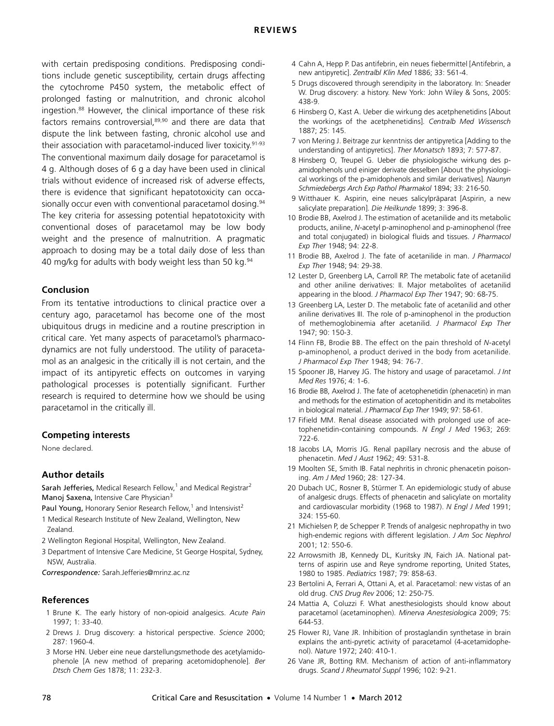#### **REVIEWS**

with certain predisposing conditions. Predisposing conditions include genetic susceptibility, certain drugs affecting the cytochrome P450 system, the metabolic effect of prolonged fasting or malnutrition, and chronic alcohol ingestion[.88](#page-6-18) However, the clinical importance of these risk factors remains controversial[,89](#page-6-19),[90](#page-6-20) and there are data that dispute the link between fasting, chronic alcohol use and their association with paracetamol-induced liver toxicity.<sup>[91-](#page-6-21)[93](#page-6-22)</sup> The conventional maximum daily dosage for paracetamol is 4 g. Although doses of 6 g a day have been used in clinical trials without evidence of increased risk of adverse effects, there is evidence that significant hepatotoxicity can occa-sionally occur even with conventional paracetamol dosing.<sup>[94](#page-6-0)</sup> The key criteria for assessing potential hepatotoxicity with conventional doses of paracetamol may be low body weight and the presence of malnutrition. A pragmatic approach to dosing may be a total daily dose of less than 40 mg/kg for adults with body weight less than 50 kg.<sup>94</sup>

#### **Conclusion**

From its tentative introductions to clinical practice over a century ago, paracetamol has become one of the most ubiquitous drugs in medicine and a routine prescription in critical care. Yet many aspects of paracetamol's pharmacodynamics are not fully understood. The utility of paracetamol as an analgesic in the critically ill is not certain, and the impact of its antipyretic effects on outcomes in varying pathological processes is potentially significant. Further research is required to determine how we should be using paracetamol in the critically ill.

#### **Competing interests**

None declared.

#### **Author details**

Sarah Jefferies, Medical Research Fellow, $1$  and Medical Registrar<sup>2</sup> Manoj Saxena, Intensive Care Physician<sup>3</sup>

Paul Young, Honorary Senior Research Fellow,<sup>1</sup> and Intensivist<sup>2</sup>

- 1 Medical Research Institute of New Zealand, Wellington, New Zealand.
- 2 Wellington Regional Hospital, Wellington, New Zealand.
- 3 Department of Intensive Care Medicine, St George Hospital, Sydney, NSW, Australia.
- *Correspondence:* Sarah.Jefferies@mrinz.ac.nz

#### **References**

- <span id="page-4-0"></span>1 Brune K. The early history of non-opioid analgesics. *Acute Pain* 1997; 1: 33-40.
- <span id="page-4-1"></span>2 Drews J. Drug discovery: a historical perspective. *Science* 2000; 287: 1960-4.
- <span id="page-4-2"></span>3 Morse HN. Ueber eine neue darstellungsmethode des acetylamidophenole [A new method of preparing acetomidophenole]. *Ber Dtsch Chem Ges* 1878; 11: 232-3.
- <span id="page-4-3"></span>4 Cahn A, Hepp P. Das antifebrin, ein neues fiebermittel [Antifebrin, a new antipyretic]. *Zentralbl Klin Med* 1886; 33: 561-4.
- <span id="page-4-4"></span>5 Drugs discovered through serendipity in the laboratory. In: Sneader W. Drug discovery: a history. New York: John Wiley & Sons, 2005: 438-9.
- <span id="page-4-5"></span>6 Hinsberg O, Kast A. Ueber die wirkung des acetphenetidins [About the workings of the acetphenetidins]. *Centralb Med Wissensch* 1887; 25: 145.
- <span id="page-4-6"></span>7 von Mering J. Beitrage zur kenntniss der antipyretica [Adding to the understanding of antipyretics]. *Ther Monatsch* 1893; 7: 577-87.
- <span id="page-4-7"></span>8 Hinsberg O, Treupel G. Ueber die physiologische wirkung des pamidophenols und einiger derivate desselben [About the physiological workings of the p-amidophenols and similar derivatives]. *Naunyn Schmiedebergs Arch Exp Pathol Pharmakol* 1894; 33: 216-50.
- <span id="page-4-8"></span>9 Witthauer K. Aspirin, eine neues salicylpräparat [Aspirin, a new salicylate preparation]. *Die Heilkunde* 1899; 3: 396-8.
- <span id="page-4-9"></span>10 Brodie BB, Axelrod J. The estimation of acetanilide and its metabolic products, aniline, *N*-acetyl p-aminophenol and p-aminophenol (free and total conjugated) in biological fluids and tissues. *J Pharmacol Exp Ther* 1948; 94: 22-8.
- <span id="page-4-12"></span>11 Brodie BB, Axelrod J. The fate of acetanilide in man. *J Pharmacol Exp Ther* 1948; 94: 29-38.
- <span id="page-4-10"></span>12 Lester D, Greenberg LA, Carroll RP. The metabolic fate of acetanilid and other aniline derivatives: II. Major metabolites of acetanilid appearing in the blood. *J Pharmacol Exp Ther* 1947; 90: 68-75.
- <span id="page-4-11"></span>13 Greenberg LA, Lester D. The metabolic fate of acetanilid and other aniline derivatives III. The role of p-aminophenol in the production of methemoglobinemia after acetanilid. *J Pharmacol Exp Ther* 1947; 90: 150-3.
- <span id="page-4-13"></span>14 Flinn FB, Brodie BB. The effect on the pain threshold of *N*-acetyl p-aminophenol, a product derived in the body from acetanilide. *J Pharmacol Exp Ther* 1948; 94: 76-7.
- <span id="page-4-14"></span>15 Spooner JB, Harvey JG. The history and usage of paracetamol. *J Int Med Res* 1976; 4: 1-6.
- <span id="page-4-15"></span>16 Brodie BB, Axelrod J. The fate of acetophenetidin (phenacetin) in man and methods for the estimation of acetophenitidin and its metabolites in biological material. *J Pharmacol Exp Ther* 1949; 97: 58-61.
- <span id="page-4-16"></span>17 Fifield MM. Renal disease associated with prolonged use of acetophenetidin-containing compounds. *N Engl J Med* 1963; 269: 722-6.
- 18 Jacobs LA, Morris JG. Renal papillary necrosis and the abuse of phenacetin. *Med J Aust* 1962; 49: 531-8.
- <span id="page-4-17"></span>19 Moolten SE, Smith IB. Fatal nephritis in chronic phenacetin poisoning. *Am J Med* 1960; 28: 127-34.
- <span id="page-4-18"></span>20 Dubach UC, Rosner B, Stürmer T. An epidemiologic study of abuse of analgesic drugs. Effects of phenacetin and salicylate on mortality and cardiovascular morbidity (1968 to 1987). *N Engl J Med* 1991; 324: 155-60.
- <span id="page-4-19"></span>21 Michielsen P, de Schepper P. Trends of analgesic nephropathy in two high-endemic regions with different legislation. *J Am Soc Nephrol* 2001; 12: 550-6.
- <span id="page-4-20"></span>22 Arrowsmith JB, Kennedy DL, Kuritsky JN, Faich JA. National patterns of aspirin use and Reye syndrome reporting, United States, 1980 to 1985. *Pediatrics* 1987; 79: 858-63.
- <span id="page-4-21"></span>23 Bertolini A, Ferrari A, Ottani A, et al. Paracetamol: new vistas of an old drug. *CNS Drug Rev* 2006; 12: 250-75.
- <span id="page-4-22"></span>24 Mattia A, Coluzzi F. What anesthesiologists should know about paracetamol (acetaminophen). *Minerva Anestesiologica* 2009; 75: 644-53.
- <span id="page-4-23"></span>25 Flower RJ, Vane JR. Inhibition of prostaglandin synthetase in brain explains the anti-pyretic activity of paracetamol (4-acetamidophenol). *Nature* 1972; 240: 410-1.
- <span id="page-4-24"></span>26 Vane JR, Botting RM. Mechanism of action of anti-inflammatory drugs. *Scand J Rheumatol Suppl* 1996; 102: 9-21.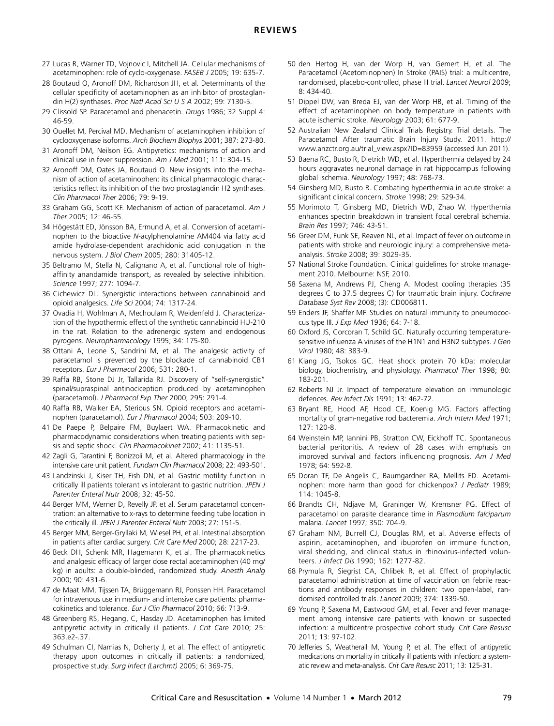- <span id="page-5-0"></span>27 Lucas R, Warner TD, Vojnovic I, Mitchell JA. Cellular mechanisms of acetaminophen: role of cyclo-oxygenase. *FASEB J* 2005; 19: 635-7.
- <span id="page-5-1"></span>28 Boutaud O, Aronoff DM, Richardson JH, et al. Determinants of the cellular specificity of acetaminophen as an inhibitor of prostaglandin H(2) synthases. *Proc Natl Acad Sci U S A* 2002; 99: 7130-5.
- 29 Clissold SP. Paracetamol and phenacetin. *Drugs* 1986; 32 Suppl 4: 46-59.
- <span id="page-5-2"></span>30 Ouellet M, Percival MD. Mechanism of acetaminophen inhibition of cyclooxygenase isoforms. *Arch Biochem Biophys* 2001; 387: 273-80.
- <span id="page-5-3"></span>31 Aronoff DM, Neilson EG. Antipyretics: mechanisms of action and clinical use in fever suppression. *Am J Med* 2001; 111: 304-15.
- 32 Aronoff DM, Oates JA, Boutaud O. New insights into the mechanism of action of acetaminophen: its clinical pharmacologic characteristics reflect its inhibition of the two prostaglandin H2 synthases. *Clin Pharmacol Ther* 2006; 79: 9-19.
- <span id="page-5-4"></span>33 Graham GG, Scott KF. Mechanism of action of paracetamol. *Am J Ther* 2005; 12: 46-55.
- <span id="page-5-5"></span>34 Högestätt ED, Jönsson BA, Ermund A, et al. Conversion of acetaminophen to the bioactive *N*-acylphenolamine AM404 via fatty acid amide hydrolase-dependent arachidonic acid conjugation in the nervous system. *J Biol Chem* 2005; 280: 31405-12.
- <span id="page-5-6"></span>35 Beltramo M, Stella N, Calignano A, et al. Functional role of highaffinity anandamide transport, as revealed by selective inhibition. *Science* 1997; 277: 1094-7.
- <span id="page-5-7"></span>36 Cichewicz DL. Synergistic interactions between cannabinoid and opioid analgesics. *Life Sci* 2004; 74: 1317-24.
- <span id="page-5-8"></span>37 Ovadia H, Wohlman A, Mechoulam R, Weidenfeld J. Characterization of the hypothermic effect of the synthetic cannabinoid HU-210 in the rat. Relation to the adrenergic system and endogenous pyrogens. *Neuropharmacology* 1995; 34: 175-80.
- <span id="page-5-9"></span>38 Ottani A, Leone S, Sandrini M, et al. The analgesic activity of paracetamol is prevented by the blockade of cannabinoid CB1 receptors. *Eur J Pharmacol* 2006; 531: 280-1.
- <span id="page-5-10"></span>39 Raffa RB, Stone DJ Jr, Tallarida RJ. Discovery of "self-synergistic" spinal/supraspinal antinociception produced by acetaminophen (paracetamol). *J Pharmacol Exp Ther* 2000; 295: 291-4.
- <span id="page-5-11"></span>40 Raffa RB, Walker EA, Sterious SN. Opioid receptors and acetaminophen (paracetamol). *Eur J Pharmacol* 2004; 503: 209-10.
- <span id="page-5-12"></span>41 De Paepe P, Belpaire FM, Buylaert WA. Pharmacokinetic and pharmacodynamic considerations when treating patients with sepsis and septic shock. *Clin Pharmacokinet* 2002; 41: 1135-51.
- <span id="page-5-13"></span>42 Zagli G, Tarantini F, Bonizzoli M, et al. Altered pharmacology in the intensive care unit patient. *Fundam Clin Pharmacol* 2008; 22: 493-501.
- <span id="page-5-14"></span>43 Landzinski J, Kiser TH, Fish DN, et al. Gastric motility function in critically ill patients tolerant vs intolerant to gastric nutrition. *JPEN J Parenter Enteral Nutr* 2008; 32: 45-50.
- <span id="page-5-15"></span>44 Berger MM, Werner D, Revelly JP, et al. Serum paracetamol concentration: an alternative to x-rays to determine feeding tube location in the critically ill. *JPEN J Parenter Enteral Nutr* 2003; 27: 151-5.
- <span id="page-5-16"></span>45 Berger MM, Berger-Gryllaki M, Wiesel PH, et al. Intestinal absorption in patients after cardiac surgery. *Crit Care Med* 2000; 28: 2217-23.
- <span id="page-5-17"></span>46 Beck DH, Schenk MR, Hagemann K, et al. The pharmacokinetics and analgesic efficacy of larger dose rectal acetaminophen (40 mg/ kg) in adults: a double-blinded, randomized study. *Anesth Analg* 2000; 90: 431-6.
- <span id="page-5-18"></span>47 de Maat MM, Tijssen TA, Brüggemann RJ, Ponssen HH. Paracetamol for intravenous use in medium- and intensive care patients: pharmacokinetics and tolerance. *Eur J Clin Pharmacol* 2010; 66: 713-9.
- <span id="page-5-19"></span>48 Greenberg RS, Hegang, C, Hasday JD. Acetaminophen has limited antipyretic activity in critically ill patients. *J Crit Care* 2010; 25: 363.e2-.37.
- <span id="page-5-20"></span>49 Schulman CI, Namias N, Doherty J, et al. The effect of antipyretic therapy upon outcomes in critically ill patients: a randomized, prospective study. *Surg Infect (Larchmt)* 2005; 6: 369-75.
- <span id="page-5-21"></span>50 den Hertog H, van der Worp H, van Gemert H, et al. The Paracetamol (Acetominophen) In Stroke (PAIS) trial: a multicentre, randomised, placebo-controlled, phase III trial. *Lancet Neurol* 2009; 8: 434-40.
- <span id="page-5-22"></span>51 Dippel DW, van Breda EJ, van der Worp HB, et al. Timing of the effect of acetaminophen on body temperature in patients with acute ischemic stroke. *Neurology* 2003; 61: 677-9.
- <span id="page-5-23"></span>52 Australian New Zealand Clinical Trials Registry. Trial details. The Paracetamol After traumatic Brain Injury Study. 2011. http:// www.anzctr.org.au/trial\_view.aspx?ID=83959 (accessed Jun 2011).
- <span id="page-5-24"></span>53 Baena RC, Busto R, Dietrich WD, et al. Hyperthermia delayed by 24 hours aggravates neuronal damage in rat hippocampus following global ischemia. *Neurology* 1997; 48: 768-73.
- 54 Ginsberg MD, Busto R. Combating hyperthermia in acute stroke: a significant clinical concern. *Stroke* 1998; 29: 529-34.
- <span id="page-5-25"></span>55 Morimoto T, Ginsberg MD, Dietrich WD, Zhao W. Hyperthemia enhances spectrin breakdown in transient focal cerebral ischemia. *Brain Res* 1997; 746: 43-51.
- <span id="page-5-26"></span>56 Greer DM, Funk SE, Reaven NL, et al. Impact of fever on outcome in patients with stroke and neurologic injury: a comprehensive metaanalysis. *Stroke* 2008; 39: 3029-35.
- <span id="page-5-27"></span>57 National Stroke Foundation. Clinical guidelines for stroke management 2010. Melbourne: NSF, 2010.
- <span id="page-5-28"></span>58 Saxena M, Andrews PJ, Cheng A. Modest cooling therapies (35 degrees C to 37.5 degrees C) for traumatic brain injury. *Cochrane Database Syst Rev* 2008; (3): CD006811.
- <span id="page-5-29"></span>59 Enders JF, Shaffer MF. Studies on natural immunity to pneumococcus type III. *J Exp Med* 1936; 64: 7-18.
- <span id="page-5-30"></span>60 Oxford JS, Corcoran T, Schild GC. Naturally occurring temperaturesensitive influenza A viruses of the H1N1 and H3N2 subtypes. *J Gen Virol* 1980; 48: 383-9.
- <span id="page-5-31"></span>61 Kiang JG, Tsokos GC. Heat shock protein 70 kDa: molecular biology, biochemistry, and physiology. *Pharmacol Ther* 1998; 80: 183-201.
- <span id="page-5-32"></span>62 Roberts NJ Jr. Impact of temperature elevation on immunologic defences. *Rev Infect Dis* 1991; 13: 462-72.
- <span id="page-5-33"></span>63 Bryant RE, Hood AF, Hood CE, Koenig MG. Factors affecting mortality of gram-negative rod bacteremia. *Arch Intern Med* 1971; 127: 120-8.
- <span id="page-5-34"></span>64 Weinstein MP, Iannini PB, Stratton CW, Eickhoff TC. Spontaneous bacterial peritonitis. A review of 28 cases with emphasis on improved survival and factors influencing prognosis. *Am J Med* 1978; 64: 592-8.
- <span id="page-5-35"></span>65 Doran TF, De Angelis C, Baumgardner RA, Mellits ED. Acetaminophen: more harm than good for chickenpox? *J Pediatr* 1989; 114: 1045-8.
- <span id="page-5-36"></span>66 Brandts CH, Ndjave M, Graninger W, Kremsner PG. Effect of paracetamol on parasite clearance time in *Plasmodium falciparum* malaria. *Lancet* 1997; 350: 704-9.
- <span id="page-5-37"></span>67 Graham NM, Burrell CJ, Douglas RM, et al. Adverse effects of aspirin, acetaminophen, and ibuprofen on immune function, viral shedding, and clinical status in rhinovirus-infected volunteers. *J Infect Dis* 1990; 162: 1277-82.
- <span id="page-5-38"></span>68 Prymula R, Siegrist CA, Chlibek R, et al. Effect of prophylactic paracetamol administration at time of vaccination on febrile reactions and antibody responses in children: two open-label, randomised controlled trials. *Lancet* 2009; 374: 1339-50.
- <span id="page-5-39"></span>69 Young P, Saxena M, Eastwood GM, et al. Fever and fever management among intensive care patients with known or suspected infection: a multicentre prospective cohort study. *Crit Care Resusc* 2011; 13: 97-102.
- <span id="page-5-40"></span>70 Jefferies S, Weatherall M, Young P, et al. The effect of antipyretic medications on mortality in critically ill patients with infection: a systematic review and meta-analysis. *Crit Care Resusc* 2011; 13: 125-31.